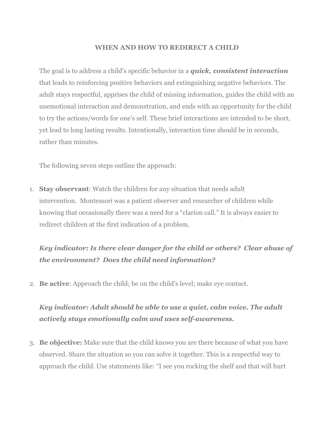#### **WHEN AND HOW TO REDIRECT A CHILD**

The goal is to address a child's specific behavior in a *quick, consistent interaction* that leads to reinforcing positive behaviors and extinguishing negative behaviors. The adult stays respectful, apprises the child of missing information, guides the child with an unemotional interaction and demonstration, and ends with an opportunity for the child to try the actions/words for one's self. These brief interactions are intended to be short, yet lead to long lasting results. Intentionally, interaction time should be in seconds, rather than minutes.

The following seven steps outline the approach:

1. **Stay observant**: Watch the children for any situation that needs adult intervention. Montessori was a patient observer and researcher of children while knowing that occasionally there was a need for a "clarion call." It is always easier to redirect children at the first indication of a problem.

## *Key indicator: Is there clear danger for the child or others? Clear abuse of the environment? Does the child need information?*

2. **Be active**: Approach the child; be on the child's level; make eye contact.

## *Key indicator: Adult should be able to use a quiet, calm voice. The adult actively stays emotionally calm and uses self-awareness.*

3. **Be objective:** Make sure that the child knows you are there because of what you have observed. Share the situation so you can solve it together. This is a respectful way to approach the child. Use statements like: "I see you rocking the shelf and that will hurt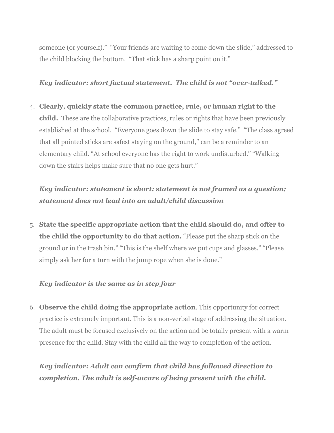someone (or yourself)." "Your friends are waiting to come down the slide," addressed to the child blocking the bottom. "That stick has a sharp point on it."

#### *Key indicator: short factual statement. The child is not "over-talked."*

4. **Clearly, quickly state the common practice, rule, or human right to the child.** These are the collaborative practices, rules or rights that have been previously established at the school. "Everyone goes down the slide to stay safe." "The class agreed that all pointed sticks are safest staying on the ground," can be a reminder to an elementary child. "At school everyone has the right to work undisturbed." "Walking down the stairs helps make sure that no one gets hurt."

### *Key indicator: statement is short; statement is not framed as a question; statement does not lead into an adult/child discussion*

5. **State the specific appropriate action that the child should do, and offer to the child the opportunity to do that action.** "Please put the sharp stick on the ground or in the trash bin." "This is the shelf where we put cups and glasses." "Please simply ask her for a turn with the jump rope when she is done."

### *Key indicator is the same as in step four*

6. **Observe the child doing the appropriate action**. This opportunity for correct practice is extremely important. This is a non-verbal stage of addressing the situation. The adult must be focused exclusively on the action and be totally present with a warm presence for the child. Stay with the child all the way to completion of the action.

*Key indicator: Adult can confirm that child has followed direction to completion. The adult is self-aware of being present with the child.*